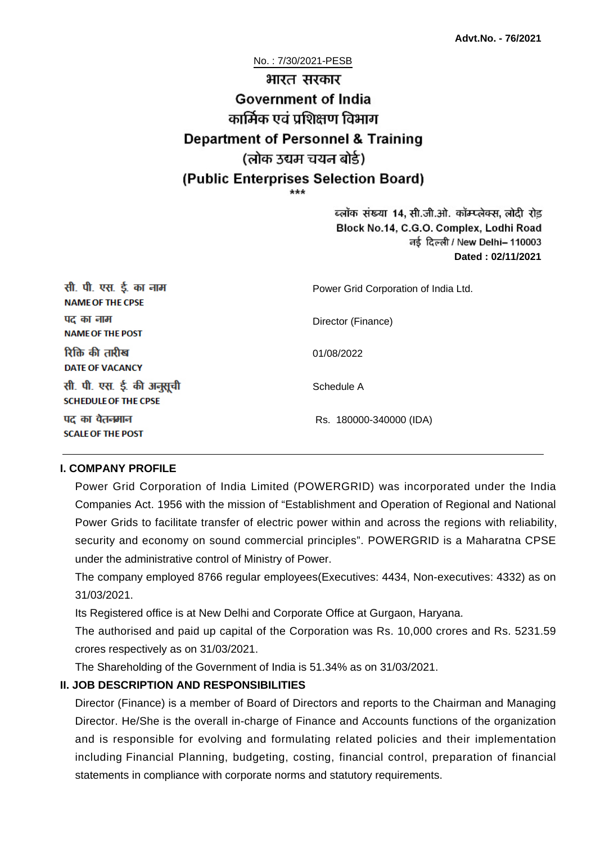No. : 7/30/2021-PESB

# भारत सरकार **Government of India** कार्मिक एवं पशिक्षण विभाग **Department of Personnel & Training** (लोक उद्यम चयन बोर्ड) (Public Enterprises Selection Board)

ब्लॉक संख्या 14, सी.जी.ओ. कॉम्प्लेक्स, लोदी रोड Block No.14, C.G.O. Complex, Lodhi Road ਰई दिल्ली / New Delhi– 110003 **Dated : 02/11/2021**

| सी. पी. एस. ई. का नाम<br><b>NAME OF THE CPSE</b>         | Power Grid Corporation of India Ltd. |
|----------------------------------------------------------|--------------------------------------|
| पद का नाम<br><b>NAME OF THE POST</b>                     | Director (Finance)                   |
| रिक्ति की तारीख<br><b>DATE OF VACANCY</b>                | 01/08/2022                           |
| सी. पी. एस. ई. की अनुसूची<br><b>SCHEDULE OF THE CPSE</b> | Schedule A                           |
| पद का वेतनमान<br><b>SCALE OF THE POST</b>                | Rs. 180000-340000 (IDA)              |

#### **I. COMPANY PROFILE**

Power Grid Corporation of India Limited (POWERGRID) was incorporated under the India Companies Act. 1956 with the mission of "Establishment and Operation of Regional and National Power Grids to facilitate transfer of electric power within and across the regions with reliability, security and economy on sound commercial principles". POWERGRID is a Maharatna CPSE under the administrative control of Ministry of Power.

The company employed 8766 regular employees(Executives: 4434, Non-executives: 4332) as on 31/03/2021.

Its Registered office is at New Delhi and Corporate Office at Gurgaon, Haryana.

The authorised and paid up capital of the Corporation was Rs. 10,000 crores and Rs. 5231.59 crores respectively as on 31/03/2021.

The Shareholding of the Government of India is 51.34% as on 31/03/2021.

## **II. JOB DESCRIPTION AND RESPONSIBILITIES**

Director (Finance) is a member of Board of Directors and reports to the Chairman and Managing Director. He/She is the overall in-charge of Finance and Accounts functions of the organization and is responsible for evolving and formulating related policies and their implementation including Financial Planning, budgeting, costing, financial control, preparation of financial statements in compliance with corporate norms and statutory requirements.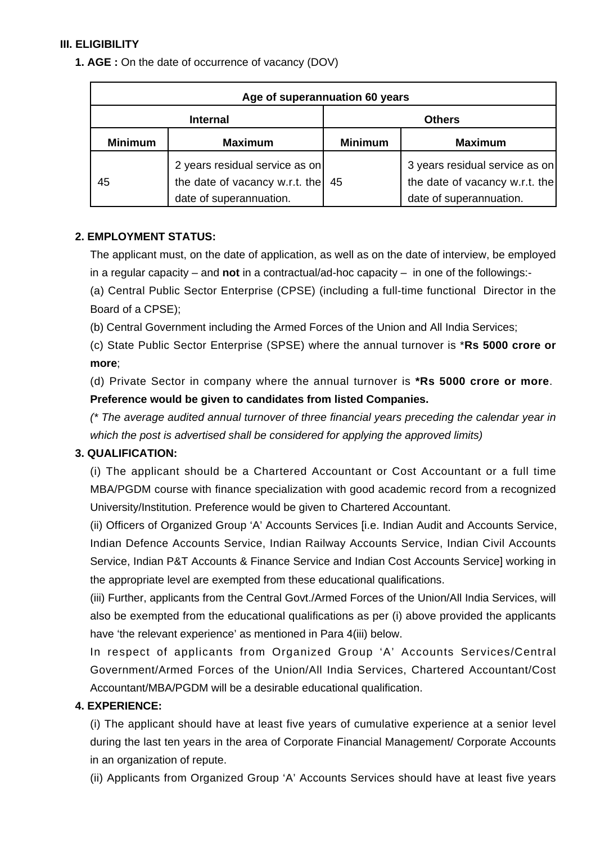## **III. ELIGIBILITY**

**1. AGE :** On the date of occurrence of vacancy (DOV)

| Age of superannuation 60 years |                                                                                             |                |                                                                                             |  |
|--------------------------------|---------------------------------------------------------------------------------------------|----------------|---------------------------------------------------------------------------------------------|--|
| <b>Internal</b>                |                                                                                             | <b>Others</b>  |                                                                                             |  |
| <b>Minimum</b>                 | <b>Maximum</b>                                                                              | <b>Minimum</b> | <b>Maximum</b>                                                                              |  |
| 45                             | 2 years residual service as on<br>the date of vacancy w.r.t. the<br>date of superannuation. | 45             | 3 years residual service as on<br>the date of vacancy w.r.t. the<br>date of superannuation. |  |

## **2. EMPLOYMENT STATUS:**

The applicant must, on the date of application, as well as on the date of interview, be employed in a regular capacity – and **not** in a contractual/ad-hoc capacity – in one of the followings:-

(a) Central Public Sector Enterprise (CPSE) (including a full-time functional Director in the Board of a CPSE);

(b) Central Government including the Armed Forces of the Union and All India Services;

(c) State Public Sector Enterprise (SPSE) where the annual turnover is \***Rs 5000 crore or more**;

(d) Private Sector in company where the annual turnover is **\*Rs 5000 crore or more**. **Preference would be given to candidates from listed Companies.**

(\* The average audited annual turnover of three financial years preceding the calendar year in which the post is advertised shall be considered for applying the approved limits)

## **3. QUALIFICATION:**

(i) The applicant should be a Chartered Accountant or Cost Accountant or a full time MBA/PGDM course with finance specialization with good academic record from a recognized University/Institution. Preference would be given to Chartered Accountant.

(ii) Officers of Organized Group 'A' Accounts Services [i.e. Indian Audit and Accounts Service, Indian Defence Accounts Service, Indian Railway Accounts Service, Indian Civil Accounts Service, Indian P&T Accounts & Finance Service and Indian Cost Accounts Service] working in the appropriate level are exempted from these educational qualifications.

(iii) Further, applicants from the Central Govt./Armed Forces of the Union/All India Services, will also be exempted from the educational qualifications as per (i) above provided the applicants have 'the relevant experience' as mentioned in Para 4(iii) below.

In respect of applicants from Organized Group 'A' Accounts Services/Central Government/Armed Forces of the Union/All India Services, Chartered Accountant/Cost Accountant/MBA/PGDM will be a desirable educational qualification.

## **4. EXPERIENCE:**

(i) The applicant should have at least five years of cumulative experience at a senior level during the last ten years in the area of Corporate Financial Management/ Corporate Accounts in an organization of repute.

(ii) Applicants from Organized Group 'A' Accounts Services should have at least five years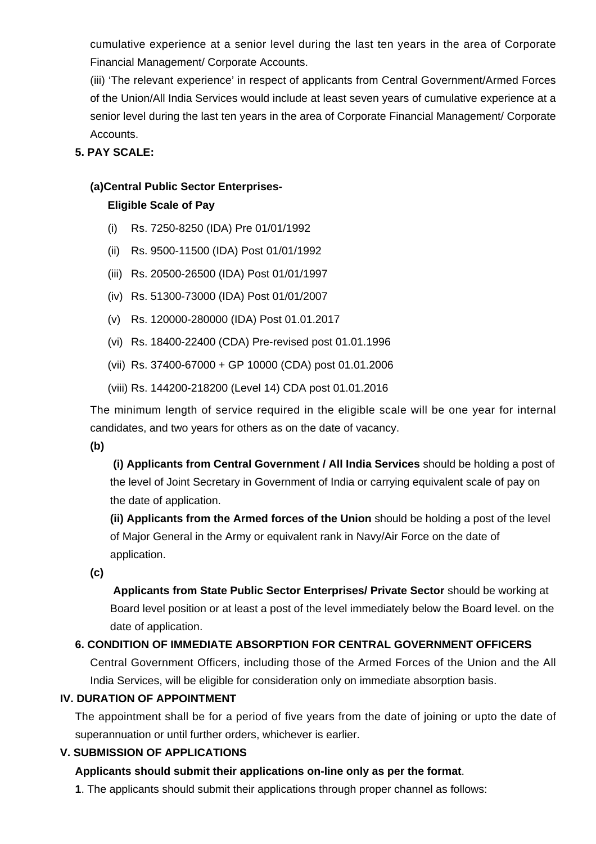cumulative experience at a senior level during the last ten years in the area of Corporate Financial Management/ Corporate Accounts.

(iii) 'The relevant experience' in respect of applicants from Central Government/Armed Forces of the Union/All India Services would include at least seven years of cumulative experience at a senior level during the last ten years in the area of Corporate Financial Management/ Corporate Accounts.

## **5. PAY SCALE:**

## **(a)Central Public Sector Enterprises-**

## **Eligible Scale of Pay**

- (i) Rs. 7250-8250 (IDA) Pre 01/01/1992
- (ii) Rs. 9500-11500 (IDA) Post 01/01/1992
- (iii) Rs. 20500-26500 (IDA) Post 01/01/1997
- (iv) Rs. 51300-73000 (IDA) Post 01/01/2007
- (v) Rs. 120000-280000 (IDA) Post 01.01.2017
- (vi) Rs. 18400-22400 (CDA) Pre-revised post 01.01.1996
- (vii) Rs. 37400-67000 + GP 10000 (CDA) post 01.01.2006
- (viii) Rs. 144200-218200 (Level 14) CDA post 01.01.2016

The minimum length of service required in the eligible scale will be one year for internal candidates, and two years for others as on the date of vacancy.

**(b)**

**(i) Applicants from Central Government / All India Services** should be holding a post of the level of Joint Secretary in Government of India or carrying equivalent scale of pay on the date of application.

**(ii) Applicants from the Armed forces of the Union** should be holding a post of the level of Major General in the Army or equivalent rank in Navy/Air Force on the date of application.

**(c)**

 **Applicants from State Public Sector Enterprises/ Private Sector** should be working at Board level position or at least a post of the level immediately below the Board level. on the date of application.

## **6. CONDITION OF IMMEDIATE ABSORPTION FOR CENTRAL GOVERNMENT OFFICERS**

Central Government Officers, including those of the Armed Forces of the Union and the All India Services, will be eligible for consideration only on immediate absorption basis.

## **IV. DURATION OF APPOINTMENT**

The appointment shall be for a period of five years from the date of joining or upto the date of superannuation or until further orders, whichever is earlier.

## **V. SUBMISSION OF APPLICATIONS**

## **Applicants should submit their applications on-line only as per the format**.

**1**. The applicants should submit their applications through proper channel as follows: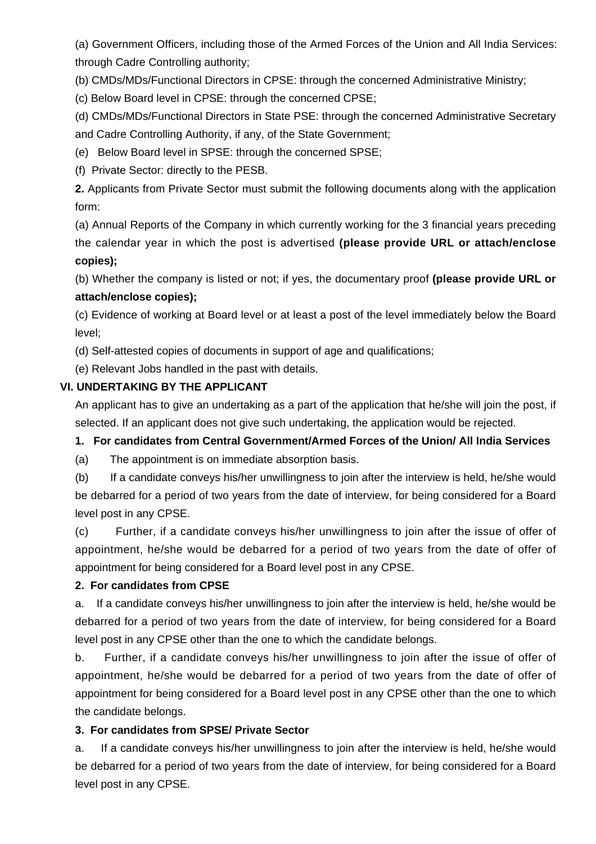(a) Government Officers, including those of the Armed Forces of the Union and All India Services: through Cadre Controlling authority;

(b) CMDs/MDs/Functional Directors in CPSE: through the concerned Administrative Ministry;

(c) Below Board level in CPSE: through the concerned CPSE;

(d) CMDs/MDs/Functional Directors in State PSE: through the concerned Administrative Secretary and Cadre Controlling Authority, if any, of the State Government;

(e) Below Board level in SPSE: through the concerned SPSE;

(f) Private Sector: directly to the PESB.

**2.** Applicants from Private Sector must submit the following documents along with the application form:

(a) Annual Reports of the Company in which currently working for the 3 financial years preceding the calendar year in which the post is advertised **(please provide URL or attach/enclose copies);**

(b) Whether the company is listed or not; if yes, the documentary proof **(please provide URL or attach/enclose copies);**

(c) Evidence of working at Board level or at least a post of the level immediately below the Board level;

(d) Self-attested copies of documents in support of age and qualifications;

(e) Relevant Jobs handled in the past with details.

## **VI. UNDERTAKING BY THE APPLICANT**

An applicant has to give an undertaking as a part of the application that he/she will join the post, if selected. If an applicant does not give such undertaking, the application would be rejected.

## **1. For candidates from Central Government/Armed Forces of the Union/ All India Services**

(a) The appointment is on immediate absorption basis.

(b) If a candidate conveys his/her unwillingness to join after the interview is held, he/she would be debarred for a period of two years from the date of interview, for being considered for a Board level post in any CPSE.

(c) Further, if a candidate conveys his/her unwillingness to join after the issue of offer of appointment, he/she would be debarred for a period of two years from the date of offer of appointment for being considered for a Board level post in any CPSE.

## **2. For candidates from CPSE**

a. If a candidate conveys his/her unwillingness to join after the interview is held, he/she would be debarred for a period of two years from the date of interview, for being considered for a Board level post in any CPSE other than the one to which the candidate belongs.

b. Further, if a candidate conveys his/her unwillingness to join after the issue of offer of appointment, he/she would be debarred for a period of two years from the date of offer of appointment for being considered for a Board level post in any CPSE other than the one to which the candidate belongs.

## **3. For candidates from SPSE/ Private Sector**

a. If a candidate conveys his/her unwillingness to join after the interview is held, he/she would be debarred for a period of two years from the date of interview, for being considered for a Board level post in any CPSE.